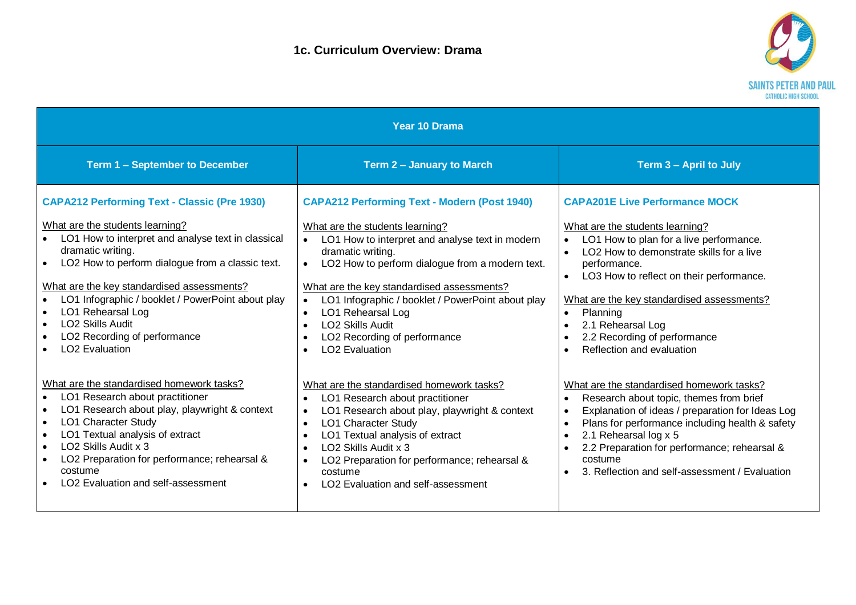

| <b>Year 10 Drama</b>                                                                                                                                                                                                                                                                                                                                                                                                                                |                                                                                                                                                                                                                                                                                                                                                                                                                                                                                                |                                                                                                                                                                                                                                                                                                                                                                                                                                                       |
|-----------------------------------------------------------------------------------------------------------------------------------------------------------------------------------------------------------------------------------------------------------------------------------------------------------------------------------------------------------------------------------------------------------------------------------------------------|------------------------------------------------------------------------------------------------------------------------------------------------------------------------------------------------------------------------------------------------------------------------------------------------------------------------------------------------------------------------------------------------------------------------------------------------------------------------------------------------|-------------------------------------------------------------------------------------------------------------------------------------------------------------------------------------------------------------------------------------------------------------------------------------------------------------------------------------------------------------------------------------------------------------------------------------------------------|
| <b>Term 1 - September to December</b>                                                                                                                                                                                                                                                                                                                                                                                                               | Term 2 - January to March                                                                                                                                                                                                                                                                                                                                                                                                                                                                      | Term 3 - April to July                                                                                                                                                                                                                                                                                                                                                                                                                                |
| <b>CAPA212 Performing Text - Classic (Pre 1930)</b><br>What are the students learning?<br>LO1 How to interpret and analyse text in classical<br>dramatic writing.<br>LO2 How to perform dialogue from a classic text.<br>What are the key standardised assessments?<br>LO1 Infographic / booklet / PowerPoint about play<br>LO1 Rehearsal Log<br>$\bullet$<br>LO <sub>2</sub> Skills Audit<br>LO2 Recording of performance<br><b>LO2</b> Evaluation | <b>CAPA212 Performing Text - Modern (Post 1940)</b><br>What are the students learning?<br>LO1 How to interpret and analyse text in modern<br>dramatic writing.<br>LO2 How to perform dialogue from a modern text.<br>What are the key standardised assessments?<br>LO1 Infographic / booklet / PowerPoint about play<br>$\bullet$<br>LO1 Rehearsal Log<br>$\bullet$<br><b>LO2 Skills Audit</b><br>$\bullet$<br>LO2 Recording of performance<br>$\bullet$<br><b>LO2</b> Evaluation<br>$\bullet$ | <b>CAPA201E Live Performance MOCK</b><br>What are the students learning?<br>LO1 How to plan for a live performance.<br>LO2 How to demonstrate skills for a live<br>$\bullet$<br>performance.<br>LO3 How to reflect on their performance.<br>$\bullet$<br>What are the key standardised assessments?<br>Planning<br>$\bullet$<br>2.1 Rehearsal Log<br>$\bullet$<br>2.2 Recording of performance<br>$\bullet$<br>Reflection and evaluation<br>$\bullet$ |
| What are the standardised homework tasks?<br>LO1 Research about practitioner<br>$\bullet$<br>LO1 Research about play, playwright & context<br>$\bullet$<br>LO1 Character Study<br>$\bullet$<br>LO1 Textual analysis of extract<br>$\bullet$<br>LO <sub>2</sub> Skills Audit x 3<br>$\bullet$<br>LO2 Preparation for performance; rehearsal &<br>$\bullet$<br>costume<br>LO2 Evaluation and self-assessment                                          | What are the standardised homework tasks?<br>LO1 Research about practitioner<br>$\bullet$<br>LO1 Research about play, playwright & context<br>$\bullet$<br>LO1 Character Study<br>$\bullet$<br>LO1 Textual analysis of extract<br>$\bullet$<br>LO <sub>2</sub> Skills Audit x 3<br>$\bullet$<br>LO2 Preparation for performance; rehearsal &<br>costume<br>LO <sub>2</sub> Evaluation and self-assessment<br>$\bullet$                                                                         | What are the standardised homework tasks?<br>Research about topic, themes from brief<br>$\bullet$<br>Explanation of ideas / preparation for Ideas Log<br>$\bullet$<br>Plans for performance including health & safety<br>$\bullet$<br>2.1 Rehearsal log x 5<br>$\bullet$<br>2.2 Preparation for performance; rehearsal &<br>$\bullet$<br>costume<br>3. Reflection and self-assessment / Evaluation                                                    |